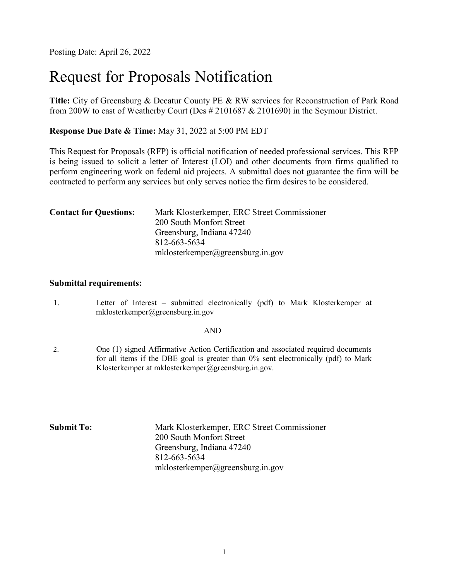Posting Date: April 26, 2022

# Request for Proposals Notification

Title: City of Greensburg & Decatur County PE & RW services for Reconstruction of Park Road from 200W to east of Weatherby Court (Des # 2101687 & 2101690) in the Seymour District.

Response Due Date & Time: May 31, 2022 at 5:00 PM EDT

This Request for Proposals (RFP) is official notification of needed professional services. This RFP is being issued to solicit a letter of Interest (LOI) and other documents from firms qualified to perform engineering work on federal aid projects. A submittal does not guarantee the firm will be contracted to perform any services but only serves notice the firm desires to be considered.

| <b>Contact for Questions:</b> | Mark Klosterkemper, ERC Street Commissioner |  |  |  |
|-------------------------------|---------------------------------------------|--|--|--|
|                               | 200 South Monfort Street                    |  |  |  |
|                               | Greensburg, Indiana 47240                   |  |  |  |
|                               | 812-663-5634                                |  |  |  |
|                               | mklosterkemper@greensburg.in.gov            |  |  |  |

#### Submittal requirements:

1. Letter of Interest – submitted electronically (pdf) to Mark Klosterkemper at mklosterkemper@greensburg.in.gov

#### AND

2. One (1) signed Affirmative Action Certification and associated required documents for all items if the DBE goal is greater than 0% sent electronically (pdf) to Mark Klosterkemper at mklosterkemper@greensburg.in.gov.

Submit To: Mark Klosterkemper, ERC Street Commissioner 200 South Monfort Street Greensburg, Indiana 47240 812-663-5634 mklosterkemper@greensburg.in.gov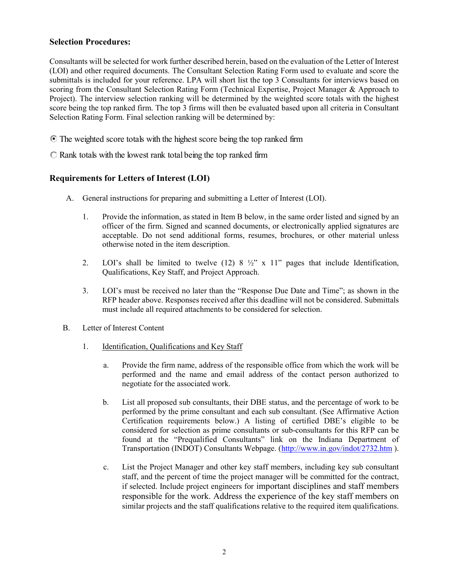#### Selection Procedures:

Consultants will be selected for work further described herein, based on the evaluation of the Letter of Interest (LOI) and other required documents. The Consultant Selection Rating Form used to evaluate and score the submittals is included for your reference. LPA will short list the top 3 Consultants for interviews based on scoring from the Consultant Selection Rating Form (Technical Expertise, Project Manager & Approach to Project). The interview selection ranking will be determined by the weighted score totals with the highest score being the top ranked firm. The top 3 firms will then be evaluated based upon all criteria in Consultant Selection Rating Form. Final selection ranking will be determined by:

The weighted score totals with the highest score being the top ranked firm

 $\bigcirc$  Rank totals with the lowest rank total being the top ranked firm

### Requirements for Letters of Interest (LOI)

- A. General instructions for preparing and submitting a Letter of Interest (LOI).
	- 1. Provide the information, as stated in Item B below, in the same order listed and signed by an officer of the firm. Signed and scanned documents, or electronically applied signatures are acceptable. Do not send additional forms, resumes, brochures, or other material unless otherwise noted in the item description.
	- 2. LOI's shall be limited to twelve  $(12)$  8  $\frac{1}{2}$ " x 11" pages that include Identification, Qualifications, Key Staff, and Project Approach.
	- 3. LOI's must be received no later than the "Response Due Date and Time"; as shown in the RFP header above. Responses received after this deadline will not be considered. Submittals must include all required attachments to be considered for selection.
- B. Letter of Interest Content
	- 1. Identification, Qualifications and Key Staff
		- a. Provide the firm name, address of the responsible office from which the work will be performed and the name and email address of the contact person authorized to negotiate for the associated work.
		- b. List all proposed sub consultants, their DBE status, and the percentage of work to be performed by the prime consultant and each sub consultant. (See Affirmative Action Certification requirements below.) A listing of certified DBE's eligible to be considered for selection as prime consultants or sub-consultants for this RFP can be found at the "Prequalified Consultants" link on the Indiana Department of Transportation (INDOT) Consultants Webpage. (http://www.in.gov/indot/2732.htm ).
		- c. List the Project Manager and other key staff members, including key sub consultant staff, and the percent of time the project manager will be committed for the contract, if selected. Include project engineers for important disciplines and staff members responsible for the work. Address the experience of the key staff members on similar projects and the staff qualifications relative to the required item qualifications.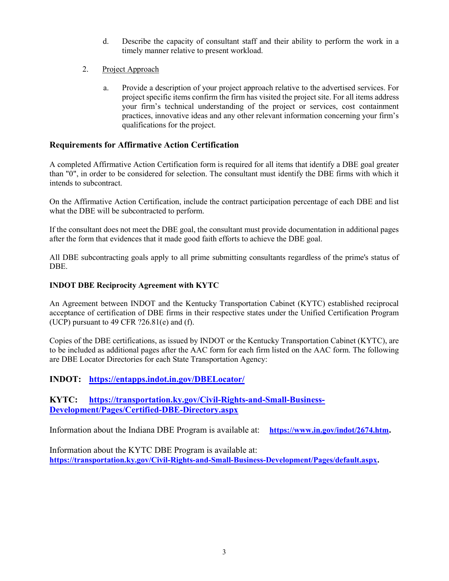- d. Describe the capacity of consultant staff and their ability to perform the work in a timely manner relative to present workload.
- 2. Project Approach
	- a. Provide a description of your project approach relative to the advertised services. For project specific items confirm the firm has visited the project site. For all items address your firm's technical understanding of the project or services, cost containment practices, innovative ideas and any other relevant information concerning your firm's qualifications for the project.

#### Requirements for Affirmative Action Certification

A completed Affirmative Action Certification form is required for all items that identify a DBE goal greater than "0", in order to be considered for selection. The consultant must identify the DBE firms with which it intends to subcontract.

On the Affirmative Action Certification, include the contract participation percentage of each DBE and list what the DBE will be subcontracted to perform.

If the consultant does not meet the DBE goal, the consultant must provide documentation in additional pages after the form that evidences that it made good faith efforts to achieve the DBE goal.

All DBE subcontracting goals apply to all prime submitting consultants regardless of the prime's status of DBE.

#### INDOT DBE Reciprocity Agreement with KYTC

An Agreement between INDOT and the Kentucky Transportation Cabinet (KYTC) established reciprocal acceptance of certification of DBE firms in their respective states under the Unified Certification Program (UCP) pursuant to 49 CFR  $?26.81(e)$  and (f).

Copies of the DBE certifications, as issued by INDOT or the Kentucky Transportation Cabinet (KYTC), are to be included as additional pages after the AAC form for each firm listed on the AAC form. The following are DBE Locator Directories for each State Transportation Agency:

#### INDOT: https://entapps.indot.in.gov/DBELocator/

KYTC: https://transportation.ky.gov/Civil-Rights-and-Small-Business-Development/Pages/Certified-DBE-Directory.aspx

Information about the Indiana DBE Program is available at: https://www.in.gov/indot/2674.htm.

Information about the KYTC DBE Program is available at: https://transportation.ky.gov/Civil-Rights-and-Small-Business-Development/Pages/default.aspx.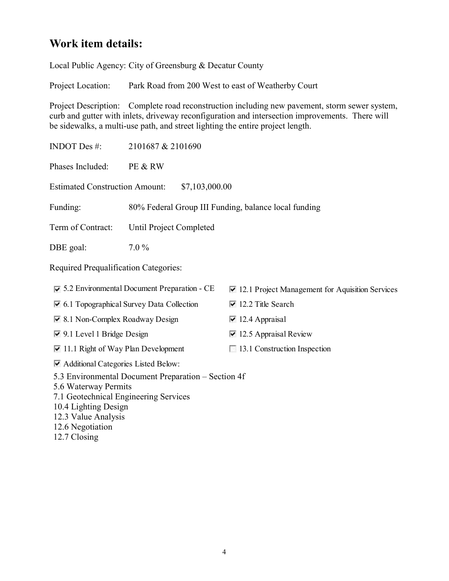## Work item details:

Local Public Agency: City of Greensburg & Decatur County

Project Location: Park Road from 200 West to east of Weatherby Court

Project Description: Complete road reconstruction including new pavement, storm sewer system, curb and gutter with inlets, driveway reconfiguration and intersection improvements. There will be sidewalks, a multi-use path, and street lighting the entire project length.

INDOT Des #: 2101687 & 2101690 Phases Included: PE & RW Estimated Construction Amount: \$7,103,000.00 Funding: 80% Federal Group III Funding, balance local funding Term of Contract: Until Project Completed DBE goal:  $7.0\%$ Required Prequalification Categories:  $\triangledown$  5.2 Environmental Document Preparation - CE  $\triangledown$  12.1 Project Management for Aquisition Services  $\vee$  6.1 Topographical Survey Data Collection  $\vee$  12.2 Title Search  $\vee$  8.1 Non-Complex Roadway Design  $\vee$  12.4 Appraisal

 $\vee$  9.1 Level 1 Bridge Design  $\vee$  12.5 Appraisal Review

11.1 Right of Way Plan Development 13.1 Construction Inspection

Additional Categories Listed Below:

5.3 Environmental Document Preparation – Section 4f

5.6 Waterway Permits

7.1 Geotechnical Engineering Services

10.4 Lighting Design

12.3 Value Analysis

12.6 Negotiation

12.7 Closing

- -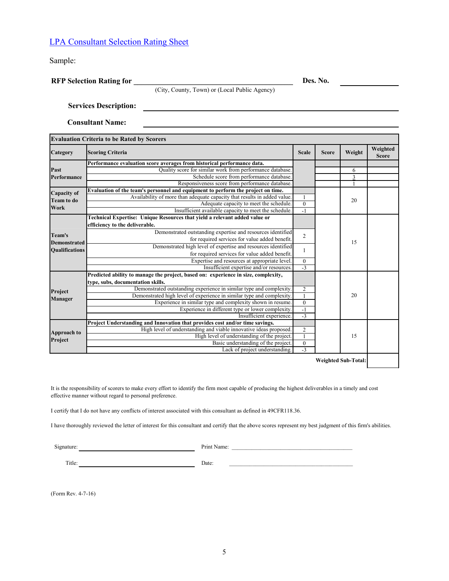### LPA Consultant Selection Rating Sheet

|                     | <b>LPA Consultant Selection Rating Sheet</b>                                                                                                 |                  |              |                            |                          |
|---------------------|----------------------------------------------------------------------------------------------------------------------------------------------|------------------|--------------|----------------------------|--------------------------|
| Sample:             |                                                                                                                                              |                  |              |                            |                          |
|                     | <b>RFP Selection Rating for</b>                                                                                                              |                  | Des. No.     |                            |                          |
|                     | (City, County, Town) or (Local Public Agency)                                                                                                |                  |              |                            |                          |
|                     | <b>Services Description:</b>                                                                                                                 |                  |              |                            |                          |
|                     | <b>Consultant Name:</b>                                                                                                                      |                  |              |                            |                          |
|                     | <b>Evaluation Criteria to be Rated by Scorers</b>                                                                                            |                  |              |                            |                          |
| Category            | <b>Scoring Criteria</b>                                                                                                                      | <b>Scale</b>     | <b>Score</b> | Weight                     | Weighted<br><b>Score</b> |
| Past                | Performance evaluation score averages from historical performance data.<br>Quality score for similar work from performance database.         |                  |              | 6                          |                          |
| Performance         | Schedule score from performance database.                                                                                                    |                  |              | 3                          |                          |
| Capacity of         | Responsiveness score from performance database.<br>Evaluation of the team's personnel and equipment to perform the project on time.          |                  |              | $\overline{1}$             |                          |
| <b>Team to do</b>   | Availability of more than adequate capacity that results in added value.<br>Adequate capacity to meet the schedule.                          | $\bf{0}$         |              | 20                         |                          |
| Work                | Insufficient available capacity to meet the schedule.                                                                                        | $-1$             |              |                            |                          |
|                     | Technical Expertise: Unique Resources that yield a relevant added value or<br>efficiency to the deliverable.                                 |                  |              |                            |                          |
| Team's              | Demonstrated outstanding expertise and resources identified                                                                                  | $\overline{c}$   |              |                            |                          |
| <b>Demonstrated</b> | for required services for value added benefit.                                                                                               |                  |              | 15                         |                          |
| Qualifications      | Demonstrated high level of expertise and resources identified<br>for required services for value added benefit.                              |                  |              |                            |                          |
|                     | Expertise and resources at appropriate level.                                                                                                | $\bf{0}$         |              |                            |                          |
|                     | Insufficient expertise and/or resources.<br>Predicted ability to manage the project, based on: experience in size, complexity,               | $-3$             |              |                            |                          |
|                     | type, subs, documentation skills.                                                                                                            |                  |              |                            |                          |
| Project             | Demonstrated outstanding experience in similar type and complexity.<br>Demonstrated high level of experience in similar type and complexity. | 2                |              | 20                         |                          |
| Manager             | Experience in similar type and complexity shown in resume.                                                                                   | $\boldsymbol{0}$ |              |                            |                          |
|                     | Experience in different type or lower complexity.<br>Insufficient experience.                                                                | $-1$<br>$-3$     |              |                            |                          |
|                     | Project Understanding and Innovation that provides cost and/or time savings.                                                                 |                  |              |                            |                          |
| <b>Approach to</b>  | High level of understanding and viable innovative ideas proposed.<br>High level of understanding of the project.                             | $\overline{c}$   |              | 15                         |                          |
| Project             | Basic understanding of the project.<br>Lack of project understanding.                                                                        | $\boldsymbol{0}$ |              |                            |                          |
|                     |                                                                                                                                              | $-3$             |              |                            |                          |
|                     |                                                                                                                                              |                  |              | <b>Weighted Sub-Total:</b> |                          |